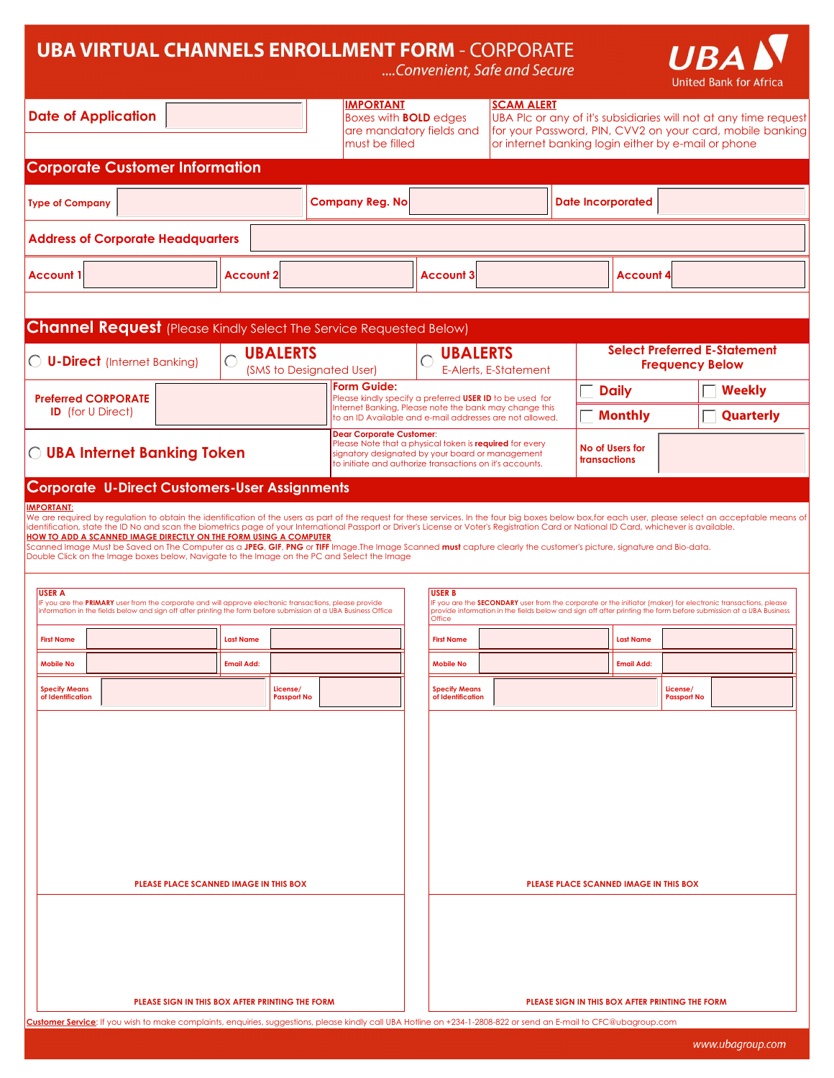## **UBA VIRTUAL CHANNELS ENROLLMENT FORM - CORPORATE**

| <b>UBA VIRTUAL CHANNELS ENROLLMENT FORM - CORPORATE</b>                                                                                                                                                                                                                                                                                                                                                                                                                                                                                                                                                                                                                                                                                                                                                                                                                                                                                                                                                                   |                                             |                                                                                                                                                                                                            |                                           | Convenient, Safe and Secure |                                        |                                                 | <b>UBA</b><br>United Bank for Africa                                                                                                                                                                                              |
|---------------------------------------------------------------------------------------------------------------------------------------------------------------------------------------------------------------------------------------------------------------------------------------------------------------------------------------------------------------------------------------------------------------------------------------------------------------------------------------------------------------------------------------------------------------------------------------------------------------------------------------------------------------------------------------------------------------------------------------------------------------------------------------------------------------------------------------------------------------------------------------------------------------------------------------------------------------------------------------------------------------------------|---------------------------------------------|------------------------------------------------------------------------------------------------------------------------------------------------------------------------------------------------------------|-------------------------------------------|-----------------------------|----------------------------------------|-------------------------------------------------|-----------------------------------------------------------------------------------------------------------------------------------------------------------------------------------------------------------------------------------|
| <b>Date of Application</b><br><b>Introducer ID</b>                                                                                                                                                                                                                                                                                                                                                                                                                                                                                                                                                                                                                                                                                                                                                                                                                                                                                                                                                                        |                                             | <b>IMPORTANT</b><br><b>Boxes with BOLD edges</b><br>are mandatory fields and<br>must be filled                                                                                                             |                                           | <b>SCAM ALERT</b>           |                                        |                                                 | UBA PIc or any of it's subsidiaries will not at any time request<br>for your Password, PIN, CVV2 on your card, mobile banking<br>or internet banking login either by e-mail or phone                                              |
| <b>Corporate Customer Information</b>                                                                                                                                                                                                                                                                                                                                                                                                                                                                                                                                                                                                                                                                                                                                                                                                                                                                                                                                                                                     |                                             |                                                                                                                                                                                                            |                                           |                             |                                        |                                                 |                                                                                                                                                                                                                                   |
| <b>Type of Company</b>                                                                                                                                                                                                                                                                                                                                                                                                                                                                                                                                                                                                                                                                                                                                                                                                                                                                                                                                                                                                    |                                             | <b>Company Reg. No</b>                                                                                                                                                                                     |                                           |                             | <b>Date Incorporated</b>               |                                                 |                                                                                                                                                                                                                                   |
| <b>Address of Corporate Headquarters</b>                                                                                                                                                                                                                                                                                                                                                                                                                                                                                                                                                                                                                                                                                                                                                                                                                                                                                                                                                                                  |                                             |                                                                                                                                                                                                            |                                           |                             |                                        |                                                 |                                                                                                                                                                                                                                   |
| <b>Account 1</b>                                                                                                                                                                                                                                                                                                                                                                                                                                                                                                                                                                                                                                                                                                                                                                                                                                                                                                                                                                                                          | <b>Account 2</b>                            |                                                                                                                                                                                                            | <b>Account 3</b>                          |                             |                                        | <b>Account 4</b>                                |                                                                                                                                                                                                                                   |
|                                                                                                                                                                                                                                                                                                                                                                                                                                                                                                                                                                                                                                                                                                                                                                                                                                                                                                                                                                                                                           |                                             |                                                                                                                                                                                                            |                                           |                             |                                        |                                                 |                                                                                                                                                                                                                                   |
| <b>Channel Request</b> (Please Kindly Select The Service Requested Below)                                                                                                                                                                                                                                                                                                                                                                                                                                                                                                                                                                                                                                                                                                                                                                                                                                                                                                                                                 |                                             |                                                                                                                                                                                                            |                                           |                             |                                        |                                                 |                                                                                                                                                                                                                                   |
| <b>U-Direct</b> (Internet Banking)                                                                                                                                                                                                                                                                                                                                                                                                                                                                                                                                                                                                                                                                                                                                                                                                                                                                                                                                                                                        | <b>UBALERTS</b><br>(SMS to Designated User) |                                                                                                                                                                                                            | O UBALERTS                                | E-Alerts, E-Statement       |                                        |                                                 | <b>Select Preferred E-Statement</b><br><b>Frequency Below</b>                                                                                                                                                                     |
| <b>Preferred CORPORATE</b>                                                                                                                                                                                                                                                                                                                                                                                                                                                                                                                                                                                                                                                                                                                                                                                                                                                                                                                                                                                                |                                             | Form Guide:<br>Please kindly specify a preferred USER ID to be used for                                                                                                                                    |                                           |                             |                                        | <b>Daily</b>                                    | <b>Weekly</b>                                                                                                                                                                                                                     |
| <b>ID</b> (for U Direct)                                                                                                                                                                                                                                                                                                                                                                                                                                                                                                                                                                                                                                                                                                                                                                                                                                                                                                                                                                                                  |                                             | Internet Banking, Please note the bank may change this<br>to an ID Available and e-mail addresses are not allowed.                                                                                         |                                           |                             |                                        | <b>Monthly</b>                                  | <b>Quarterly</b>                                                                                                                                                                                                                  |
| O UBA Internet Banking Token                                                                                                                                                                                                                                                                                                                                                                                                                                                                                                                                                                                                                                                                                                                                                                                                                                                                                                                                                                                              |                                             | <b>Dear Corporate Customer:</b><br>Please Note that a physical token is required for every<br>signatory designated by your board or management<br>to initiate and authorize transactions on it's accounts. |                                           |                             | No of Users for<br>transactions        |                                                 |                                                                                                                                                                                                                                   |
| <b>Corporate U-Direct Customers-User Assignments</b>                                                                                                                                                                                                                                                                                                                                                                                                                                                                                                                                                                                                                                                                                                                                                                                                                                                                                                                                                                      |                                             |                                                                                                                                                                                                            |                                           |                             |                                        |                                                 |                                                                                                                                                                                                                                   |
| We are required by regulation to obtain the identification of the users as part of the request for these services. In the four big boxes below box,for each user, please select an acceptable means of<br>identification, state the ID No and scan the biometrics page of your International Passport or Driver's License or Voter's Registration Card or National ID Card, whichever is available.<br><b>HOW TO ADD A SCANNED IMAGE DIRECTLY ON THE FORM USING A COMPUTER</b><br>Scanned Image Must be Saved on The Computer as a <b>JPEG, GIF, PNG</b> or <b>TIFF</b> Image.The Image Scanned <b>must</b> capture clearly the customer's picture, signature and Bio-data.<br>Double Click on the Image boxes below, Navigate to the Image on the PC and Select the Image<br><b>USER A</b><br>IF you are the PRIMARY user from the corporate and will approve electronic transactions, please provide<br>information in the fields below and sign off after printing the form before submission at a UBA Business Office |                                             |                                                                                                                                                                                                            | <b>USER B</b><br>Office                   |                             |                                        |                                                 | IF you are the SECONDARY user from the corporate or the initiator (maker) for electronic transactions, please<br>provide information in the fields below and sign off after printing the form before submission at a UBA Business |
| <b>First Name</b>                                                                                                                                                                                                                                                                                                                                                                                                                                                                                                                                                                                                                                                                                                                                                                                                                                                                                                                                                                                                         | Last Name                                   |                                                                                                                                                                                                            | <b>First Name</b>                         |                             |                                        | Last Name                                       |                                                                                                                                                                                                                                   |
| <b>Mobile No</b>                                                                                                                                                                                                                                                                                                                                                                                                                                                                                                                                                                                                                                                                                                                                                                                                                                                                                                                                                                                                          | <b>Email Add:</b>                           |                                                                                                                                                                                                            | <b>Mobile No</b>                          |                             |                                        | <b>Email Add:</b>                               |                                                                                                                                                                                                                                   |
| <b>Specify Means</b><br>of Identification                                                                                                                                                                                                                                                                                                                                                                                                                                                                                                                                                                                                                                                                                                                                                                                                                                                                                                                                                                                 | License/<br><b>Passport No</b>              |                                                                                                                                                                                                            | <b>Specify Means</b><br>of Identification |                             |                                        |                                                 | License/<br><b>Passport No</b>                                                                                                                                                                                                    |
| PLEASE PLACE SCANNED IMAGE IN THIS BOX                                                                                                                                                                                                                                                                                                                                                                                                                                                                                                                                                                                                                                                                                                                                                                                                                                                                                                                                                                                    |                                             |                                                                                                                                                                                                            |                                           |                             | PLEASE PLACE SCANNED IMAGE IN THIS BOX |                                                 |                                                                                                                                                                                                                                   |
| PLEASE SIGN IN THIS BOX AFTER PRINTING THE FORM<br>Customer Service: If you wish to make complaints, enquiries, suggestions, please kindly call UBA Hotline on +234-1-2808-822 or send an E-mail to CFC@ubagroup.com                                                                                                                                                                                                                                                                                                                                                                                                                                                                                                                                                                                                                                                                                                                                                                                                      |                                             |                                                                                                                                                                                                            |                                           |                             |                                        | PLEASE SIGN IN THIS BOX AFTER PRINTING THE FORM |                                                                                                                                                                                                                                   |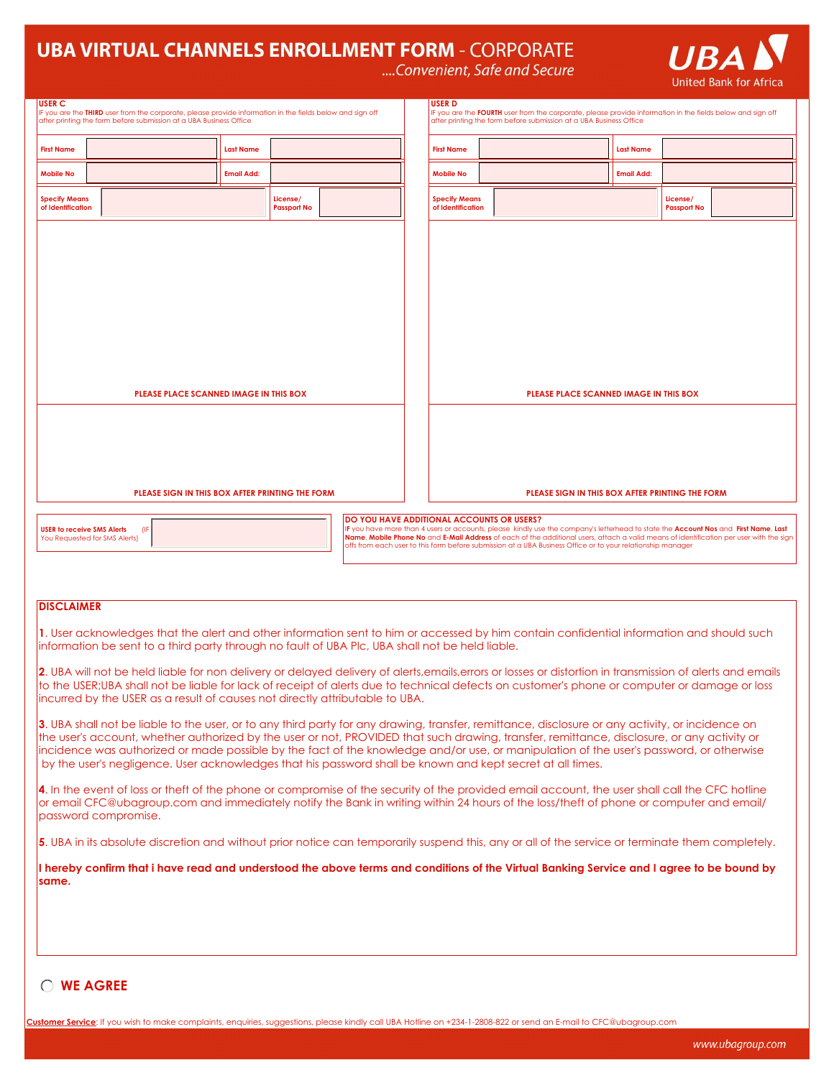## **UBA VIRTUAL CHANNELS ENROLLMENT FORM - CORPORATE**

**UBAN** 

|  |  |  | Convenient, Safe and Secure |  |
|--|--|--|-----------------------------|--|
|  |  |  |                             |  |

|                                                                                                                                                                                                                                                                                                                                                                                                                                                                                                                                                | <b>United Bank for Africa</b>                                                                                                                                                              |  |  |  |  |  |  |
|------------------------------------------------------------------------------------------------------------------------------------------------------------------------------------------------------------------------------------------------------------------------------------------------------------------------------------------------------------------------------------------------------------------------------------------------------------------------------------------------------------------------------------------------|--------------------------------------------------------------------------------------------------------------------------------------------------------------------------------------------|--|--|--|--|--|--|
| <b>USER C</b><br>IF you are the THIRD user from the corporate, please provide information in the fields below and sign off<br>after printing the form before submission at a UBA Business Office                                                                                                                                                                                                                                                                                                                                               | USER D<br>IF you are the FOURTH user from the corporate, please provide information in the fields below and sign off<br>after printing the form before submission at a UBA Business Office |  |  |  |  |  |  |
| <b>First Name</b><br><b>Last Name</b>                                                                                                                                                                                                                                                                                                                                                                                                                                                                                                          | <b>First Name</b><br><b>Last Name</b>                                                                                                                                                      |  |  |  |  |  |  |
| <b>Mobile No</b><br><b>Email Add:</b>                                                                                                                                                                                                                                                                                                                                                                                                                                                                                                          | <b>Mobile No</b><br><b>Email Add:</b>                                                                                                                                                      |  |  |  |  |  |  |
| <b>Specify Means</b><br>License/<br>of Identification<br><b>Passport No</b>                                                                                                                                                                                                                                                                                                                                                                                                                                                                    | <b>Specify Means</b><br>License/<br>of Identification<br><b>Passport No</b>                                                                                                                |  |  |  |  |  |  |
| PLEASE PLACE SCANNED IMAGE IN THIS BOX                                                                                                                                                                                                                                                                                                                                                                                                                                                                                                         | PLEASE PLACE SCANNED IMAGE IN THIS BOX                                                                                                                                                     |  |  |  |  |  |  |
| PLEASE SIGN IN THIS BOX AFTER PRINTING THE FORM<br>PLEASE SIGN IN THIS BOX AFTER PRINTING THE FORM                                                                                                                                                                                                                                                                                                                                                                                                                                             |                                                                                                                                                                                            |  |  |  |  |  |  |
| DO YOU HAVE ADDITIONAL ACCOUNTS OR USERS?<br>IF you have more than 4 users or accounts, please kindly use the company's letterhead to state the Account Nos and First Name, Last<br><b>USER to receive SMS Alerts</b><br>(IF<br>Name, Mobile Phone No and E-Mail Address of each of the additional users, attach a valid means of identification per user with the sign<br>You Requested for SMS Alerts)<br>offs from each user to this form before submission at a UBA Business Office or to your relationship manager                        |                                                                                                                                                                                            |  |  |  |  |  |  |
| <b>DISCLAIMER</b>                                                                                                                                                                                                                                                                                                                                                                                                                                                                                                                              |                                                                                                                                                                                            |  |  |  |  |  |  |
| information be sent to a third party through no fault of UBA Plc, UBA shall not be held liable.                                                                                                                                                                                                                                                                                                                                                                                                                                                | 1. User acknowledges that the alert and other information sent to him or accessed by him contain confidential information and should such                                                  |  |  |  |  |  |  |
| 2. UBA will not be held liable for non delivery or delayed delivery of alerts, emails, errors or losses or distortion in transmission of alerts and emails<br>to the USER;UBA shall not be liable for lack of receipt of alerts due to technical defects on customer's phone or computer or damage or loss<br>incurred by the USER as a result of causes not directly attributable to UBA.<br>3. UBA shall not be liable to the user, or to any third party for any drawing, transfer, remittance, disclosure or any activity, or incidence on |                                                                                                                                                                                            |  |  |  |  |  |  |
| the user's account, whether authorized by the user or not, PROVIDED that such drawing, transfer, remittance, disclosure, or any activity or<br>incidence was authorized or made possible by the fact of the knowledge and/or use, or manipulation of the user's password, or otherwise<br>by the user's negligence. User acknowledges that his password shall be known and kept secret at all times.                                                                                                                                           |                                                                                                                                                                                            |  |  |  |  |  |  |
| 4. In the event of loss or theft of the phone or compromise of the security of the provided email account, the user shall call the CFC hotline<br>or email CFC@ubagroup.com and immediately notify the Bank in writing within 24 hours of the loss/theft of phone or computer and email/<br>password compromise.                                                                                                                                                                                                                               |                                                                                                                                                                                            |  |  |  |  |  |  |
|                                                                                                                                                                                                                                                                                                                                                                                                                                                                                                                                                | 5. UBA in its absolute discretion and without prior notice can temporarily suspend this, any or all of the service or terminate them completely.                                           |  |  |  |  |  |  |
| same.                                                                                                                                                                                                                                                                                                                                                                                                                                                                                                                                          | I hereby confirm that i have read and understood the above terms and conditions of the Virtual Banking Service and I agree to be bound by                                                  |  |  |  |  |  |  |
|                                                                                                                                                                                                                                                                                                                                                                                                                                                                                                                                                |                                                                                                                                                                                            |  |  |  |  |  |  |
| ◯ WE AGREE                                                                                                                                                                                                                                                                                                                                                                                                                                                                                                                                     |                                                                                                                                                                                            |  |  |  |  |  |  |